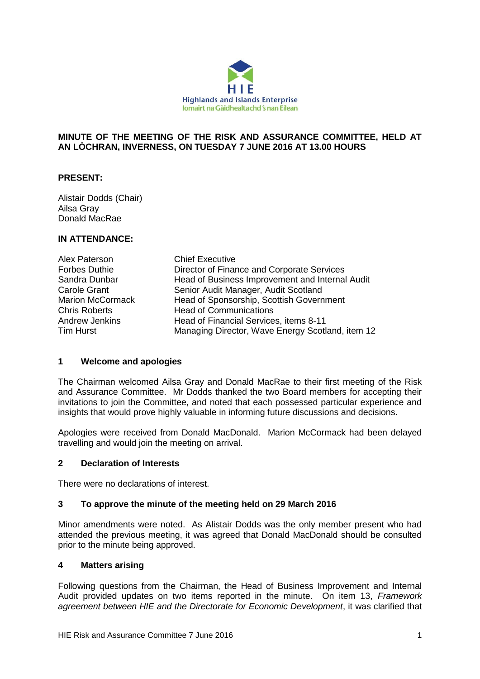

## **MINUTE OF THE MEETING OF THE RISK AND ASSURANCE COMMITTEE, HELD AT AN LÒCHRAN, INVERNESS, ON TUESDAY 7 JUNE 2016 AT 13.00 HOURS**

## **PRESENT:**

Alistair Dodds (Chair) Ailsa Gray Donald MacRae

### **IN ATTENDANCE:**

| Alex Paterson           | <b>Chief Executive</b>                           |
|-------------------------|--------------------------------------------------|
| Forbes Duthie           | Director of Finance and Corporate Services       |
| Sandra Dunbar           | Head of Business Improvement and Internal Audit  |
| Carole Grant            | Senior Audit Manager, Audit Scotland             |
| <b>Marion McCormack</b> | Head of Sponsorship, Scottish Government         |
| <b>Chris Roberts</b>    | <b>Head of Communications</b>                    |
| Andrew Jenkins          | Head of Financial Services, items 8-11           |
| <b>Tim Hurst</b>        | Managing Director, Wave Energy Scotland, item 12 |

## **1 Welcome and apologies**

The Chairman welcomed Ailsa Gray and Donald MacRae to their first meeting of the Risk and Assurance Committee. Mr Dodds thanked the two Board members for accepting their invitations to join the Committee, and noted that each possessed particular experience and insights that would prove highly valuable in informing future discussions and decisions.

Apologies were received from Donald MacDonald. Marion McCormack had been delayed travelling and would join the meeting on arrival.

#### **2 Declaration of Interests**

There were no declarations of interest.

## **3 To approve the minute of the meeting held on 29 March 2016**

Minor amendments were noted. As Alistair Dodds was the only member present who had attended the previous meeting, it was agreed that Donald MacDonald should be consulted prior to the minute being approved.

#### **4 Matters arising**

Following questions from the Chairman, the Head of Business Improvement and Internal Audit provided updates on two items reported in the minute. On item 13, *Framework agreement between HIE and the Directorate for Economic Development*, it was clarified that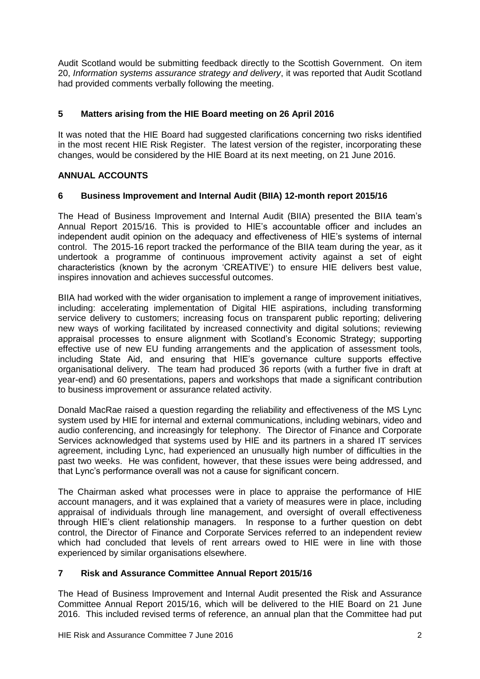Audit Scotland would be submitting feedback directly to the Scottish Government. On item 20, *Information systems assurance strategy and delivery*, it was reported that Audit Scotland had provided comments verbally following the meeting.

# **5 Matters arising from the HIE Board meeting on 26 April 2016**

It was noted that the HIE Board had suggested clarifications concerning two risks identified in the most recent HIE Risk Register. The latest version of the register, incorporating these changes, would be considered by the HIE Board at its next meeting, on 21 June 2016.

# **ANNUAL ACCOUNTS**

# **6 Business Improvement and Internal Audit (BIIA) 12-month report 2015/16**

The Head of Business Improvement and Internal Audit (BIIA) presented the BIIA team's Annual Report 2015/16. This is provided to HIE's accountable officer and includes an independent audit opinion on the adequacy and effectiveness of HIE's systems of internal control. The 2015-16 report tracked the performance of the BIIA team during the year, as it undertook a programme of continuous improvement activity against a set of eight characteristics (known by the acronym 'CREATIVE') to ensure HIE delivers best value, inspires innovation and achieves successful outcomes.

BIIA had worked with the wider organisation to implement a range of improvement initiatives, including: accelerating implementation of Digital HIE aspirations, including transforming service delivery to customers; increasing focus on transparent public reporting; delivering new ways of working facilitated by increased connectivity and digital solutions; reviewing appraisal processes to ensure alignment with Scotland's Economic Strategy; supporting effective use of new EU funding arrangements and the application of assessment tools, including State Aid, and ensuring that HIE's governance culture supports effective organisational delivery. The team had produced 36 reports (with a further five in draft at year-end) and 60 presentations, papers and workshops that made a significant contribution to business improvement or assurance related activity.

Donald MacRae raised a question regarding the reliability and effectiveness of the MS Lync system used by HIE for internal and external communications, including webinars, video and audio conferencing, and increasingly for telephony. The Director of Finance and Corporate Services acknowledged that systems used by HIE and its partners in a shared IT services agreement, including Lync, had experienced an unusually high number of difficulties in the past two weeks. He was confident, however, that these issues were being addressed, and that Lync's performance overall was not a cause for significant concern.

The Chairman asked what processes were in place to appraise the performance of HIE account managers, and it was explained that a variety of measures were in place, including appraisal of individuals through line management, and oversight of overall effectiveness through HIE's client relationship managers. In response to a further question on debt control, the Director of Finance and Corporate Services referred to an independent review which had concluded that levels of rent arrears owed to HIE were in line with those experienced by similar organisations elsewhere.

# **7 Risk and Assurance Committee Annual Report 2015/16**

The Head of Business Improvement and Internal Audit presented the Risk and Assurance Committee Annual Report 2015/16, which will be delivered to the HIE Board on 21 June 2016. This included revised terms of reference, an annual plan that the Committee had put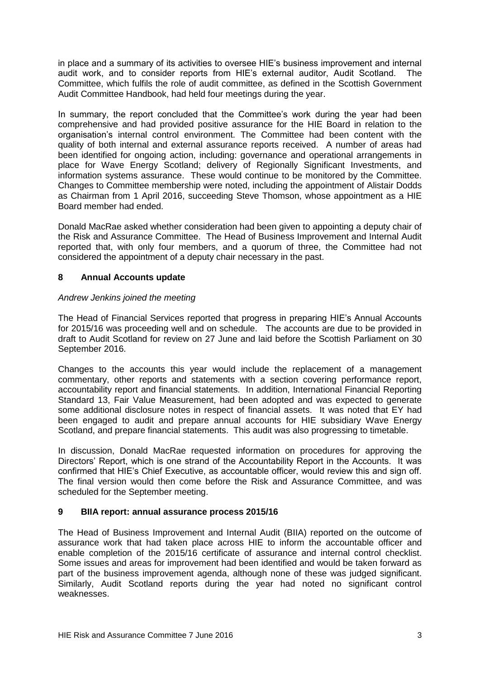in place and a summary of its activities to oversee HIE's business improvement and internal audit work, and to consider reports from HIE's external auditor, Audit Scotland. The Committee, which fulfils the role of audit committee, as defined in the Scottish Government Audit Committee Handbook, had held four meetings during the year.

In summary, the report concluded that the Committee's work during the year had been comprehensive and had provided positive assurance for the HIE Board in relation to the organisation's internal control environment. The Committee had been content with the quality of both internal and external assurance reports received. A number of areas had been identified for ongoing action, including: governance and operational arrangements in place for Wave Energy Scotland; delivery of Regionally Significant Investments, and information systems assurance. These would continue to be monitored by the Committee. Changes to Committee membership were noted, including the appointment of Alistair Dodds as Chairman from 1 April 2016, succeeding Steve Thomson, whose appointment as a HIE Board member had ended.

Donald MacRae asked whether consideration had been given to appointing a deputy chair of the Risk and Assurance Committee. The Head of Business Improvement and Internal Audit reported that, with only four members, and a quorum of three, the Committee had not considered the appointment of a deputy chair necessary in the past.

# **8 Annual Accounts update**

## *Andrew Jenkins joined the meeting*

The Head of Financial Services reported that progress in preparing HIE's Annual Accounts for 2015/16 was proceeding well and on schedule. The accounts are due to be provided in draft to Audit Scotland for review on 27 June and laid before the Scottish Parliament on 30 September 2016.

Changes to the accounts this year would include the replacement of a management commentary, other reports and statements with a section covering performance report, accountability report and financial statements. In addition, International Financial Reporting Standard 13, Fair Value Measurement, had been adopted and was expected to generate some additional disclosure notes in respect of financial assets. It was noted that EY had been engaged to audit and prepare annual accounts for HIE subsidiary Wave Energy Scotland, and prepare financial statements. This audit was also progressing to timetable.

In discussion, Donald MacRae requested information on procedures for approving the Directors' Report, which is one strand of the Accountability Report in the Accounts. It was confirmed that HIE's Chief Executive, as accountable officer, would review this and sign off. The final version would then come before the Risk and Assurance Committee, and was scheduled for the September meeting.

## **9 BIIA report: annual assurance process 2015/16**

The Head of Business Improvement and Internal Audit (BIIA) reported on the outcome of assurance work that had taken place across HIE to inform the accountable officer and enable completion of the 2015/16 certificate of assurance and internal control checklist. Some issues and areas for improvement had been identified and would be taken forward as part of the business improvement agenda, although none of these was judged significant. Similarly, Audit Scotland reports during the year had noted no significant control weaknesses.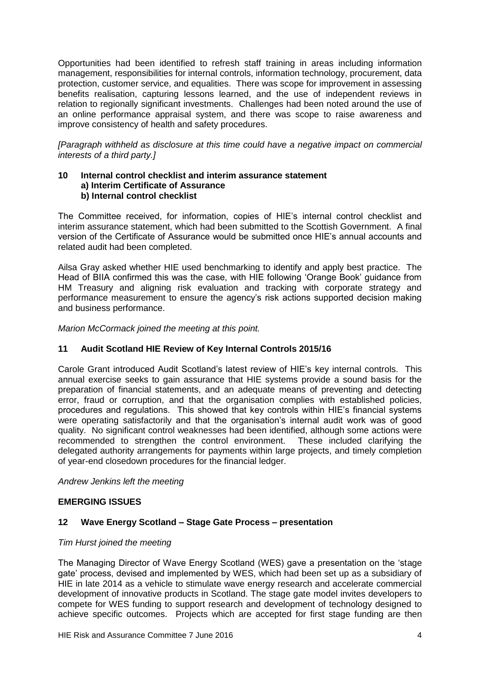Opportunities had been identified to refresh staff training in areas including information management, responsibilities for internal controls, information technology, procurement, data protection, customer service, and equalities. There was scope for improvement in assessing benefits realisation, capturing lessons learned, and the use of independent reviews in relation to regionally significant investments. Challenges had been noted around the use of an online performance appraisal system, and there was scope to raise awareness and improve consistency of health and safety procedures.

*[Paragraph withheld as disclosure at this time could have a negative impact on commercial interests of a third party.]*

#### **10 Internal control checklist and interim assurance statement a) Interim Certificate of Assurance b) Internal control checklist**

The Committee received, for information, copies of HIE's internal control checklist and interim assurance statement, which had been submitted to the Scottish Government. A final version of the Certificate of Assurance would be submitted once HIE's annual accounts and related audit had been completed.

Ailsa Gray asked whether HIE used benchmarking to identify and apply best practice. The Head of BIIA confirmed this was the case, with HIE following 'Orange Book' guidance from HM Treasury and aligning risk evaluation and tracking with corporate strategy and performance measurement to ensure the agency's risk actions supported decision making and business performance.

*Marion McCormack joined the meeting at this point.*

## **11 Audit Scotland HIE Review of Key Internal Controls 2015/16**

Carole Grant introduced Audit Scotland's latest review of HIE's key internal controls. This annual exercise seeks to gain assurance that HIE systems provide a sound basis for the preparation of financial statements, and an adequate means of preventing and detecting error, fraud or corruption, and that the organisation complies with established policies, procedures and regulations. This showed that key controls within HIE's financial systems were operating satisfactorily and that the organisation's internal audit work was of good quality. No significant control weaknesses had been identified, although some actions were recommended to strengthen the control environment. These included clarifying the delegated authority arrangements for payments within large projects, and timely completion of year-end closedown procedures for the financial ledger.

*Andrew Jenkins left the meeting*

## **EMERGING ISSUES**

# **12 Wave Energy Scotland – Stage Gate Process – presentation**

#### *Tim Hurst joined the meeting*

The Managing Director of Wave Energy Scotland (WES) gave a presentation on the 'stage gate' process, devised and implemented by WES, which had been set up as a subsidiary of HIE in late 2014 as a vehicle to stimulate wave energy research and accelerate commercial development of innovative products in Scotland. The stage gate model invites developers to compete for WES funding to support research and development of technology designed to achieve specific outcomes. Projects which are accepted for first stage funding are then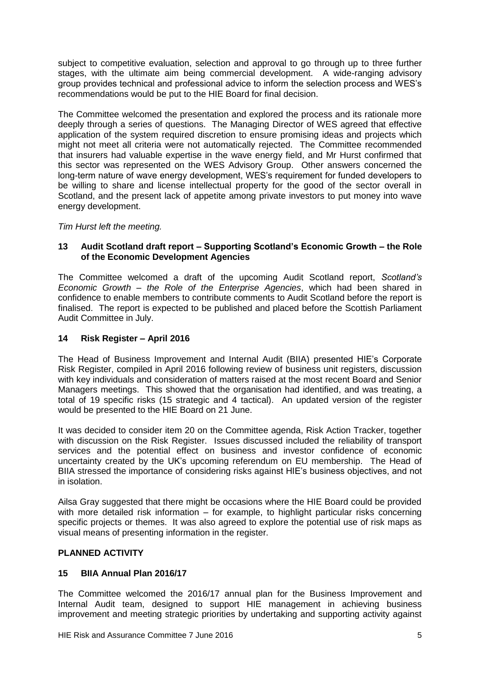subject to competitive evaluation, selection and approval to go through up to three further stages, with the ultimate aim being commercial development. A wide-ranging advisory group provides technical and professional advice to inform the selection process and WES's recommendations would be put to the HIE Board for final decision.

The Committee welcomed the presentation and explored the process and its rationale more deeply through a series of questions. The Managing Director of WES agreed that effective application of the system required discretion to ensure promising ideas and projects which might not meet all criteria were not automatically rejected. The Committee recommended that insurers had valuable expertise in the wave energy field, and Mr Hurst confirmed that this sector was represented on the WES Advisory Group. Other answers concerned the long-term nature of wave energy development, WES's requirement for funded developers to be willing to share and license intellectual property for the good of the sector overall in Scotland, and the present lack of appetite among private investors to put money into wave energy development.

*Tim Hurst left the meeting.*

# **13 Audit Scotland draft report – Supporting Scotland's Economic Growth – the Role of the Economic Development Agencies**

The Committee welcomed a draft of the upcoming Audit Scotland report, *Scotland's Economic Growth – the Role of the Enterprise Agencies*, which had been shared in confidence to enable members to contribute comments to Audit Scotland before the report is finalised. The report is expected to be published and placed before the Scottish Parliament Audit Committee in July.

# **14 Risk Register – April 2016**

The Head of Business Improvement and Internal Audit (BIIA) presented HIE's Corporate Risk Register, compiled in April 2016 following review of business unit registers, discussion with key individuals and consideration of matters raised at the most recent Board and Senior Managers meetings. This showed that the organisation had identified, and was treating, a total of 19 specific risks (15 strategic and 4 tactical). An updated version of the register would be presented to the HIE Board on 21 June.

It was decided to consider item 20 on the Committee agenda, Risk Action Tracker, together with discussion on the Risk Register. Issues discussed included the reliability of transport services and the potential effect on business and investor confidence of economic uncertainty created by the UK's upcoming referendum on EU membership. The Head of BIIA stressed the importance of considering risks against HIE's business objectives, and not in isolation.

Ailsa Gray suggested that there might be occasions where the HIE Board could be provided with more detailed risk information – for example, to highlight particular risks concerning specific projects or themes. It was also agreed to explore the potential use of risk maps as visual means of presenting information in the register.

# **PLANNED ACTIVITY**

# **15 BIIA Annual Plan 2016/17**

The Committee welcomed the 2016/17 annual plan for the Business Improvement and Internal Audit team, designed to support HIE management in achieving business improvement and meeting strategic priorities by undertaking and supporting activity against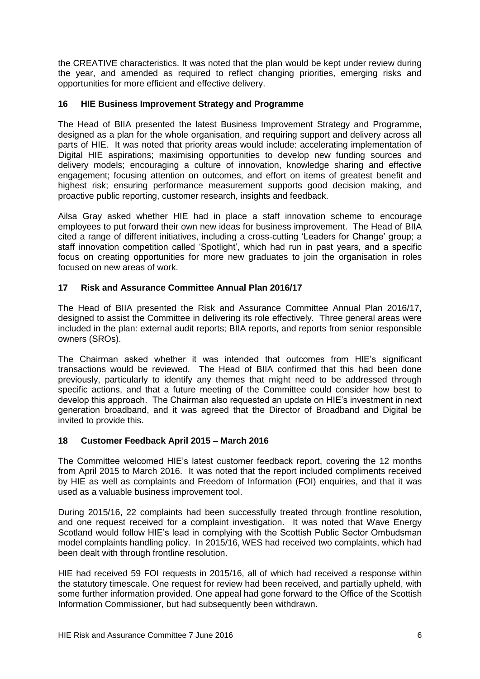the CREATIVE characteristics. It was noted that the plan would be kept under review during the year, and amended as required to reflect changing priorities, emerging risks and opportunities for more efficient and effective delivery.

## **16 HIE Business Improvement Strategy and Programme**

The Head of BIIA presented the latest Business Improvement Strategy and Programme, designed as a plan for the whole organisation, and requiring support and delivery across all parts of HIE. It was noted that priority areas would include: accelerating implementation of Digital HIE aspirations; maximising opportunities to develop new funding sources and delivery models; encouraging a culture of innovation, knowledge sharing and effective engagement; focusing attention on outcomes, and effort on items of greatest benefit and highest risk; ensuring performance measurement supports good decision making, and proactive public reporting, customer research, insights and feedback.

Ailsa Gray asked whether HIE had in place a staff innovation scheme to encourage employees to put forward their own new ideas for business improvement. The Head of BIIA cited a range of different initiatives, including a cross-cutting 'Leaders for Change' group; a staff innovation competition called 'Spotlight', which had run in past years, and a specific focus on creating opportunities for more new graduates to join the organisation in roles focused on new areas of work.

# **17 Risk and Assurance Committee Annual Plan 2016/17**

The Head of BIIA presented the Risk and Assurance Committee Annual Plan 2016/17, designed to assist the Committee in delivering its role effectively. Three general areas were included in the plan: external audit reports; BIIA reports, and reports from senior responsible owners (SROs).

The Chairman asked whether it was intended that outcomes from HIE's significant transactions would be reviewed. The Head of BIIA confirmed that this had been done previously, particularly to identify any themes that might need to be addressed through specific actions, and that a future meeting of the Committee could consider how best to develop this approach. The Chairman also requested an update on HIE's investment in next generation broadband, and it was agreed that the Director of Broadband and Digital be invited to provide this.

## **18 Customer Feedback April 2015 – March 2016**

The Committee welcomed HIE's latest customer feedback report, covering the 12 months from April 2015 to March 2016. It was noted that the report included compliments received by HIE as well as complaints and Freedom of Information (FOI) enquiries, and that it was used as a valuable business improvement tool.

During 2015/16, 22 complaints had been successfully treated through frontline resolution, and one request received for a complaint investigation. It was noted that Wave Energy Scotland would follow HIE's lead in complying with the Scottish Public Sector Ombudsman model complaints handling policy. In 2015/16, WES had received two complaints, which had been dealt with through frontline resolution.

HIE had received 59 FOI requests in 2015/16, all of which had received a response within the statutory timescale. One request for review had been received, and partially upheld, with some further information provided. One appeal had gone forward to the Office of the Scottish Information Commissioner, but had subsequently been withdrawn.